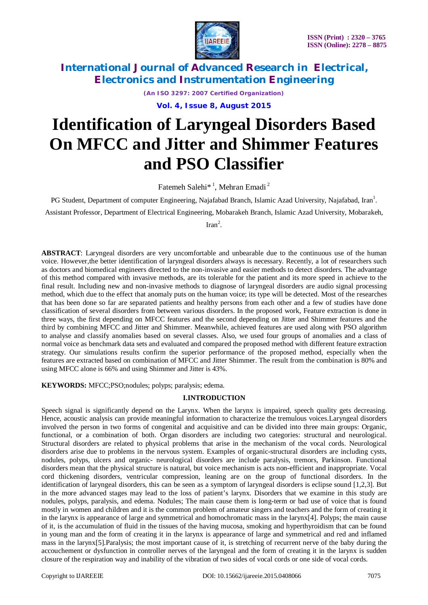

*(An ISO 3297: 2007 Certified Organization)*

**Vol. 4, Issue 8, August 2015**

# **Identification of Laryngeal Disorders Based On MFCC and Jitter and Shimmer Features and PSO Classifier**

Fatemeh Salehi<sup>\* 1</sup>, Mehran Emadi<sup>2</sup>

PG Student, Department of computer Engineering, Najafabad Branch, Islamic Azad University, Najafabad, Iran<sup>1</sup>.

Assistant Professor, Department of Electrical Engineering, Mobarakeh Branch, Islamic Azad University, Mobarakeh,

 $\text{Iran}^2$ .

**ABSTRACT**: Laryngeal disorders are very uncomfortable and unbearable due to the continuous use of the human voice. However,the better identification of laryngeal disorders always is necessary. Recently, a lot of researchers such as doctors and biomedical engineers directed to the non-invasive and easier methods to detect disorders. The advantage of this method compared with invasive methods, are its tolerable for the patient and its more speed in achieve to the final result. Including new and non-invasive methods to diagnose of laryngeal disorders are audio signal processing method, which due to the effect that anomaly puts on the human voice; its type will be detected. Most of the researches that has been done so far are separated patients and healthy persons from each other and a few of studies have done classification of several disorders from between various disorders. In the proposed work, Feature extraction is done in three ways, the first depending on MFCC features and the second depending on Jitter and Shimmer features and the third by combining MFCC and Jitter and Shimmer. Meanwhile, achieved features are used along with PSO algorithm to analyse and classify anomalies based on several classes. Also, we used four groups of anomalies and a class of normal voice as benchmark data sets and evaluated and compared the proposed method with different feature extraction strategy. Our simulations results confirm the superior performance of the proposed method, especially when the features are extracted based on combination of MFCC and Jitter Shimmer. The result from the combination is 80% and using MFCC alone is 66% and using Shimmer and Jitter is 43%.

**KEYWORDS:** MFCC;PSO;nodules; polyps; paralysis; edema.

### **I.INTRODUCTION**

Speech signal is significantly depend on the Larynx. When the larynx is impaired, speech quality gets decreasing. Hence, acoustic analysis can provide meaningful information to characterize the tremulous voices.Laryngeal disorders involved the person in two forms of congenital and acquisitive and can be divided into three main groups: Organic, functional, or a combination of both. Organ disorders are including two categories: structural and neurological. Structural disorders are related to physical problems that arise in the mechanism of the vocal cords. Neurological disorders arise due to problems in the nervous system. Examples of organic-structural disorders are including cysts, nodules, polyps, ulcers and organic- neurological disorders are include paralysis, tremors, Parkinson. Functional disorders mean that the physical structure is natural, but voice mechanism is acts non-efficient and inappropriate. Vocal cord thickening disorders, ventricular compression, leaning are on the group of functional disorders. In the identification of laryngeal disorders, this can be seen as a symptom of laryngeal disorders is eclipse sound [1,2,3]. But in the more advanced stages may lead to the loss of patient's larynx. Disorders that we examine in this study are nodules, polyps, paralysis, and edema. Nodules; The main cause them is long-term or bad use of voice that is found mostly in women and children and it is the common problem of amateur singers and teachers and the form of creating it in the larynx is appearance of large and symmetrical and homochromatic mass in the larynx[4]. Polyps; the main cause of it, is the accumulation of fluid in the tissues of the having mucosa, smoking and hyperthyroidism that can be found in young man and the form of creating it in the larynx is appearance of large and symmetrical and red and inflamed mass in the larynx[5].Paralysis; the most important cause of it, is stretching of recurrent nerve of the baby during the accouchement or dysfunction in controller nerves of the laryngeal and the form of creating it in the larynx is sudden closure of the respiration way and inability of the vibration of two sides of vocal cords or one side of vocal cords.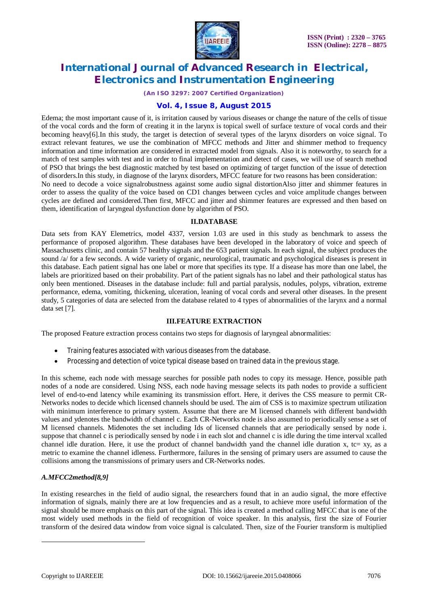

#### *(An ISO 3297: 2007 Certified Organization)*

### **Vol. 4, Issue 8, August 2015**

Edema; the most important cause of it, is irritation caused by various diseases or change the nature of the cells of tissue of the vocal cords and the form of creating it in the larynx is topical swell of surface texture of vocal cords and their becoming heavy[6].In this study, the target is detection of several types of the larynx disorders on voice signal. To extract relevant features, we use the combination of MFCC methods and Jitter and shimmer method to frequency information and time information are considered in extracted model from signals. Also it is noteworthy, to search for a match of test samples with test and in order to final implementation and detect of cases, we will use of search method of PSO that brings the best diagnostic matched by test based on optimizing of target function of the issue of detection of disorders.In this study, in diagnose of the larynx disorders, MFCC feature for two reasons has been consideration:

No need to decode a voice signalrobustness against some audio signal distortionAlso jitter and shimmer features in order to assess the quality of the voice based on CD1 changes between cycles and voice amplitude changes between cycles are defined and considered.Then first, MFCC and jitter and shimmer features are expressed and then based on them, identification of laryngeal dysfunction done by algorithm of PSO.

### **II.DATABASE**

Data sets from KAY Elemetrics, model 4337, version 1.03 are used in this study as benchmark to assess the performance of proposed algorithm. These databases have been developed in the laboratory of voice and speech of Massachusetts clinic, and contain 57 healthy signals and the 653 patient signals. In each signal, the subject produces the sound /a/ for a few seconds. A wide variety of organic, neurological, traumatic and psychological diseases is present in this database. Each patient signal has one label or more that specifies its type. If a disease has more than one label, the labels are prioritized based on their probability. Part of the patient signals has no label and their pathological status has only been mentioned. Diseases in the database include: full and partial paralysis, nodules, polyps, vibration, extreme performance, edema, vomiting, thickening, ulceration, leaning of vocal cords and several other diseases. In the present study, 5 categories of data are selected from the database related to 4 types of abnormalities of the larynx and a normal data set [7].

### **III.FEATURE EXTRACTION**

The proposed Feature extraction process contains two steps for diagnosis of laryngeal abnormalities:

- Training features associated with various diseases from the database.
- Processing and detection of voice typical disease based on trained data in the previous stage.

In this scheme, each node with message searches for possible path nodes to copy its message. Hence, possible path nodes of a node are considered. Using NSS, each node having message selects its path nodes to provide a sufficient level of end-to-end latency while examining its transmission effort. Here, it derives the CSS measure to permit CR-Networks nodes to decide which licensed channels should be used. The aim of CSS is to maximize spectrum utilization with minimum interference to primary system. Assume that there are M licensed channels with different bandwidth values and ydenotes the bandwidth of channel c. Each CR-Networks node is also assumed to periodically sense a set of M licensed channels. Midenotes the set including Ids of licensed channels that are periodically sensed by node i. suppose that channel c is periodically sensed by node i in each slot and channel c is idle during the time interval xcalled channel idle duration. Here, it use the product of channel bandwidth yand the channel idle duration x, tc= xy, as a metric to examine the channel idleness. Furthermore, failures in the sensing of primary users are assumed to cause the collisions among the transmissions of primary users and CR-Networks nodes.

### *A.MFCC2method[8,9]*

In existing researches in the field of audio signal, the researchers found that in an audio signal, the more effective information of signals, mainly there are at low frequencies and as a result, to achieve more useful information of the signal should be more emphasis on this part of the signal. This idea is created a method calling MFCC that is one of the most widely used methods in the field of recognition of voice speaker. In this analysis, first the size of Fourier transform of the desired data window from voice signal is calculated. Then, size of the Fourier transform is multiplied

 $\overline{a}$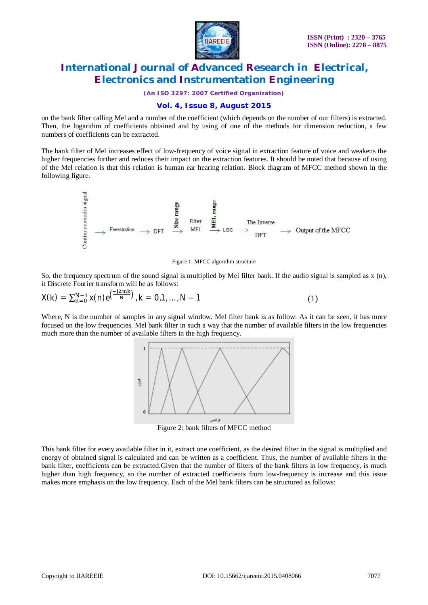

*(An ISO 3297: 2007 Certified Organization)*

### **Vol. 4, Issue 8, August 2015**

on the bank filter calling Mel and a number of the coefficient (which depends on the number of our filters) is extracted. Then, the logarithm of coefficients obtained and by using of one of the methods for dimension reduction, a few numbers of coefficients can be extracted.

The bank filter of Mel increases effect of low-frequency of voice signal in extraction feature of voice and weakens the higher frequencies further and reduces their impact on the extraction features. It should be noted that because of using of the Mel relation is that this relation is human ear hearing relation. Block diagram of MFCC method shown in the following figure.



#### Figure 1: MFCC algorithm structure

So, the frequency spectrum of the sound signal is multiplied by Mel filter bank. If the audio signal is sampled as  $x(n)$ , it Discrete Fourier transform will be as follows:

$$
X(k) = \sum_{n=0}^{N-1} x(n) e^{\left(\frac{-j2\pi nk}{N}\right)}, k = 0, 1, ..., N-1
$$
 (1)

Where, N is the number of samples in any signal window. Mel filter bank is as follow: As it can be seen, it has more focused on the low frequencies. Mel bank filter in such a way that the number of available filters in the low frequencies much more than the number of available filters in the high frequency.



Figure 2: bank filters of MFCC method

This bank filter for every available filter in it, extract one coefficient, as the desired filter in the signal is multiplied and energy of obtained signal is calculated and can be written as a coefficient. Thus, the number of available filters in the bank filter, coefficients can be extracted.Given that the number of filters of the bank filters in low frequency, is much higher than high frequency, so the number of extracted coefficients from low-frequency is increase and this issue makes more emphasis on the low frequency. Each of the Mel bank filters can be structured as follows: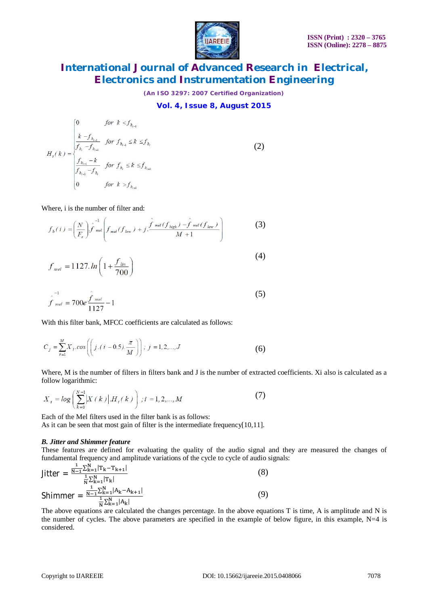

*(An ISO 3297: 2007 Certified Organization)*

### **Vol. 4, Issue 8, August 2015**

$$
H_{i}(k) = \begin{cases} 0 & \text{for } k < f_{b_{i-1}} \\ \frac{k - f_{b_{i-1}}}{f_{b_{i}} - f_{b_{i-1}}} & \text{for } f_{b_{i-1}} \leq k \leq f_{b_{i}} \\ \frac{f_{b_{i-1}} - k}{f_{b_{i-1}} - f_{b_{i}}} & \text{for } f_{b_{i}} \leq k \leq f_{b_{i-1}} \\ 0 & \text{for } k > f_{b_{i-1}} \end{cases}
$$
 (2)

Where, i is the number of filter and:

$$
f_b(i) = \left(\frac{N}{F_s}\right) \hat{f}^{-1} \left(f_{\text{not}}(f_{\text{low}}) + j \cdot \frac{\hat{f}(\text{mid}(f_{\text{high}}) - \hat{f}(\text{mid}(f_{\text{low}}))}{M + 1}\right)
$$
 (3)

$$
f_{mel} = 1127. ln \left( 1 + \frac{f_{lin}}{700} \right)
$$
 (4)

$$
\hat{f}_{mel} = 700e \frac{\hat{f}_{mel}}{1127} - 1
$$
\n(5)

With this filter bank, MFCC coefficients are calculated as follows:

$$
C_j = \sum_{i=1}^{M} X_i \cdot \cos\left(\left(j \cdot (i - 0.5) \cdot \frac{\pi}{M}\right)\right); \ j = 1, 2, ..., J
$$
 (6)

Where, M is the number of filters in filters bank and J is the number of extracted coefficients. Xi also is calculated as a follow logarithmic:

$$
X_{i} = \log \left( \sum_{k=0}^{N-1} \left| X(k) \right| H_{i}(k) \right) ; i = 1, 2, ..., M
$$
 (7)

Each of the Mel filters used in the filter bank is as follows: As it can be seen that most gain of filter is the intermediate frequency[10,11].

#### *B. Jitter and Shimmer feature*

These features are defined for evaluating the quality of the audio signal and they are measured the changes of fundamental frequency and amplitude variations of the cycle to cycle of audio signals:

$$
Jitter = \frac{\frac{1}{N-1} \sum_{k=1}^{N} |T_k - T_{k+1}|}{\frac{1}{N} \sum_{k=1}^{N} |T_k|}
$$
(8)  
Shimmer = 
$$
\frac{\frac{1}{N-1} \sum_{k=1}^{N} |A_k - A_{k+1}|}{\frac{1}{N} \sum_{k=1}^{N} |A_k|}
$$
(9)

The above equations are calculated the changes percentage. In the above equations T is time, A is amplitude and N is the number of cycles. The above parameters are specified in the example of below figure, in this example,  $N=4$  is considered.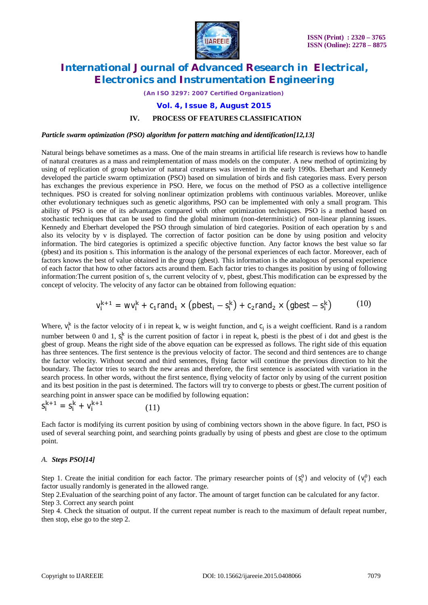

*(An ISO 3297: 2007 Certified Organization)*

**Vol. 4, Issue 8, August 2015**

### **IV. PROCESS OF FEATURES CLASSIFICATION**

*Particle swarm optimization (PSO) algorithm for pattern matching and identification[12,13]*

Natural beings behave sometimes as a mass. One of the main streams in artificial life research is reviews how to handle of natural creatures as a mass and reimplementation of mass models on the computer. A new method of optimizing by using of replication of group behavior of natural creatures was invented in the early 1990s. Eberhart and Kennedy developed the particle swarm optimization (PSO) based on simulation of birds and fish categories mass. Every person has exchanges the previous experience in PSO. Here, we focus on the method of PSO as a collective intelligence techniques. PSO is created for solving nonlinear optimization problems with continuous variables. Moreover, unlike other evolutionary techniques such as genetic algorithms, PSO can be implemented with only a small program. This ability of PSO is one of its advantages compared with other optimization techniques. PSO is a method based on stochastic techniques that can be used to find the global minimum (non-deterministic) of non-linear planning issues. Kennedy and Eberhart developed the PSO through simulation of bird categories. Position of each operation by s and also its velocity by v is displayed. The correction of factor position can be done by using position and velocity information. The bird categories is optimized a specific objective function. Any factor knows the best value so far (pbest) and its position s. This information is the analogy of the personal experiences of each factor. Moreover, each of factors knows the best of value obtained in the group (gbest). This information is the analogous of personal experience of each factor that how to other factors acts around them. Each factor tries to changes its position by using of following information:The current position of s, the current velocity of v, pbest, gbest.This modification can be expressed by the concept of velocity. The velocity of any factor can be obtained from following equation:

$$
v_i^{k+1} = wv_i^k + c_1 \text{rand}_1 \times \left(\text{pbest}_i - s_i^k\right) + c_2 \text{rand}_2 \times \left(\text{gbest} - s_i^k\right) \tag{10}
$$

Where,  $v_i^k$  is the factor velocity of i in repeat k, w is weight function, and  $c_j$  is a weight coefficient. Rand is a random number between 0 and 1,  $s_i^k$  is the current position of factor i in repeat k, pbesti is the pbest of i dot and gbest is the gbest of group. Means the right side of the above equation can be expressed as follows. The right side of this equation has three sentences. The first sentence is the previous velocity of factor. The second and third sentences are to change the factor velocity. Without second and third sentences, flying factor will continue the previous direction to hit the boundary. The factor tries to search the new areas and therefore, the first sentence is associated with variation in the search process. In other words, without the first sentence, flying velocity of factor only by using of the current position and its best position in the past is determined. The factors will try to converge to pbests or gbest.The current position of searching point in answer space can be modified by following equation:

#### $S_i^{k+1} = S_i^k + V_i^{k+1}$ (11)

Each factor is modifying its current position by using of combining vectors shown in the above figure. In fact, PSO is used of several searching point, and searching points gradually by using of pbests and gbest are close to the optimum point.

### *A. Steps PSO[14]*

Step 1. Create the initial condition for each factor. The primary researcher points of  $(S_i^0)$  and velocity of  $(V_i^0)$  each factor usually randomly is generated in the allowed range.

Step 2.Evaluation of the searching point of any factor. The amount of target function can be calculated for any factor. Step 3. Correct any search point

Step 4. Check the situation of output. If the current repeat number is reach to the maximum of default repeat number, then stop, else go to the step 2.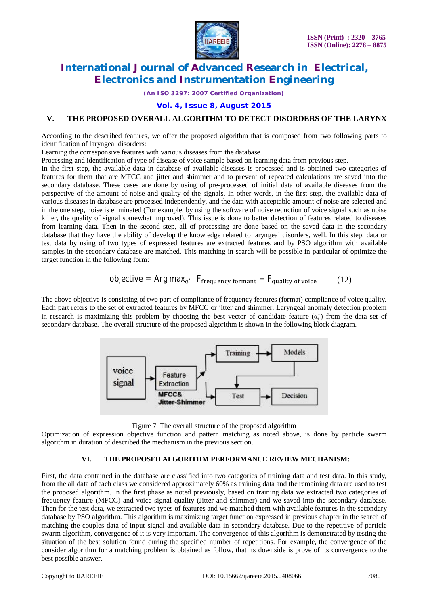

*(An ISO 3297: 2007 Certified Organization)*

**Vol. 4, Issue 8, August 2015**

### **V. THE PROPOSED OVERALL ALGORITHM TO DETECT DISORDERS OF THE LARYNX**

According to the described features, we offer the proposed algorithm that is composed from two following parts to identification of laryngeal disorders:

Learning the corresponsive features with various diseases from the database.

Processing and identification of type of disease of voice sample based on learning data from previous step.

In the first step, the available data in database of available diseases is processed and is obtained two categories of features for them that are MFCC and jitter and shimmer and to prevent of repeated calculations are saved into the secondary database. These cases are done by using of pre-processed of initial data of available diseases from the perspective of the amount of noise and quality of the signals. In other words, in the first step, the available data of various diseases in database are processed independently, and the data with acceptable amount of noise are selected and in the one step, noise is eliminated (For example, by using the software of noise reduction of voice signal such as noise killer, the quality of signal somewhat improved). This issue is done to better detection of features related to diseases from learning data. Then in the second step, all of processing are done based on the saved data in the secondary database that they have the ability of develop the knowledge related to laryngeal disorders, well. In this step, data or test data by using of two types of expressed features are extracted features and by PSO algorithm with available samples in the secondary database are matched. This matching in search will be possible in particular of optimize the target function in the following form:

$$
objective = Arg max_{\alpha_1^*} F_{frequency\ format} + F_{quality\ of\ voice}
$$
 (12)

The above objective is consisting of two part of compliance of frequency features (format) compliance of voice quality. Each part refers to the set of extracted features by MFCC or jitter and shimmer. Laryngeal anomaly detection problem in research is maximizing this problem by choosing the best vector of candidate feature  $(\alpha_i^*)$  from the data set of secondary database. The overall structure of the proposed algorithm is shown in the following block diagram.



Figure 7. The overall structure of the proposed algorithm

Optimization of expression objective function and pattern matching as noted above, is done by particle swarm algorithm in duration of described the mechanism in the previous section.

#### **VI. THE PROPOSED ALGORITHM PERFORMANCE REVIEW MECHANISM:**

First, the data contained in the database are classified into two categories of training data and test data. In this study, from the all data of each class we considered approximately 60% as training data and the remaining data are used to test the proposed algorithm. In the first phase as noted previously, based on training data we extracted two categories of frequency feature (MFCC) and voice signal quality (Jitter and shimmer) and we saved into the secondary database. Then for the test data, we extracted two types of features and we matched them with available features in the secondary database by PSO algorithm. This algorithm is maximizing target function expressed in previous chapter in the search of matching the couples data of input signal and available data in secondary database. Due to the repetitive of particle swarm algorithm, convergence of it is very important. The convergence of this algorithm is demonstrated by testing the situation of the best solution found during the specified number of repetitions. For example, the convergence of the consider algorithm for a matching problem is obtained as follow, that its downside is prove of its convergence to the best possible answer.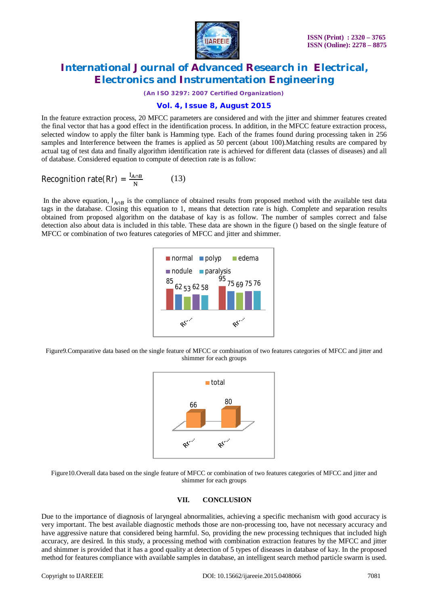

*(An ISO 3297: 2007 Certified Organization)*

### **Vol. 4, Issue 8, August 2015**

In the feature extraction process, 20 MFCC parameters are considered and with the jitter and shimmer features created the final vector that has a good effect in the identification process. In addition, in the MFCC feature extraction process, selected window to apply the filter bank is Hamming type. Each of the frames found during processing taken in 256 samples and Interference between the frames is applied as 50 percent (about 100). Matching results are compared by actual tag of test data and finally algorithm identification rate is achieved for different data (classes of diseases) and all of database. Considered equation to compute of detection rate is as follow:

Recognition rate(Rr) = 
$$
\frac{I_{A \cap B}}{N}
$$
 (13)

In the above equation,  $I_{A\cap B}$  is the compliance of obtained results from proposed method with the available test data tags in the database. Closing this equation to 1, means that detection rate is high. Complete and separation results obtained from proposed algorithm on the database of kay is as follow. The number of samples correct and false detection also about data is included in this table. These data are shown in the figure () based on the single feature of MFCC or combination of two features categories of MFCC and jitter and shimmer.



Figure9.Comparative data based on the single feature of MFCC or combination of two features categories of MFCC and jitter and shimmer for each groups



Figure10.Overall data based on the single feature of MFCC or combination of two features categories of MFCC and jitter and shimmer for each groups

### **VII. CONCLUSION**

Due to the importance of diagnosis of laryngeal abnormalities, achieving a specific mechanism with good accuracy is very important. The best available diagnostic methods those are non-processing too, have not necessary accuracy and have aggressive nature that considered being harmful. So, providing the new processing techniques that included high accuracy, are desired. In this study, a processing method with combination extraction features by the MFCC and jitter and shimmer is provided that it has a good quality at detection of 5 types of diseases in database of kay. In the proposed method for features compliance with available samples in database, an intelligent search method particle swarm is used.